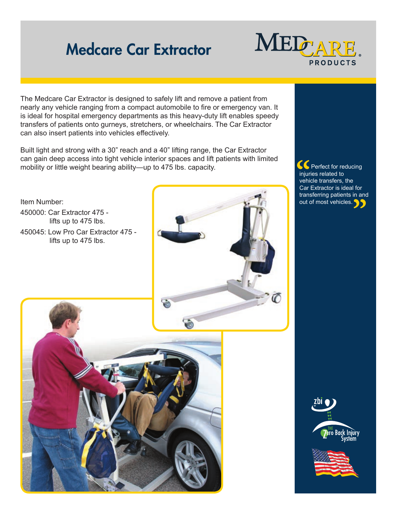## Medcare Car Extractor



The Medcare Car Extractor is designed to safely lift and remove a patient from nearly any vehicle ranging from a compact automobile to fire or emergency van. It is ideal for hospital emergency departments as this heavy-duty lift enables speedy transfers of patients onto gurneys, stretchers, or wheelchairs. The Car Extractor can also insert patients into vehicles effectively.

Built light and strong with a 30" reach and a 40" lifting range, the Car Extractor can gain deep access into tight vehicle interior spaces and lift patients with limited mobility or little weight bearing ability—up to 475 lbs. capacity.



**S** Perfect for reducing injuries related to vehicle transfers, the Car Extractor is ideal for transferring patients in and out of most vehicles.